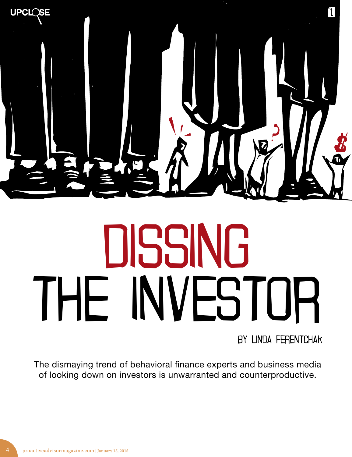

# THE INVEST **NVESTOR**

By Linda Ferentchak

The dismaying trend of behavioral finance experts and business media of looking down on investors is unwarranted and counterproductive.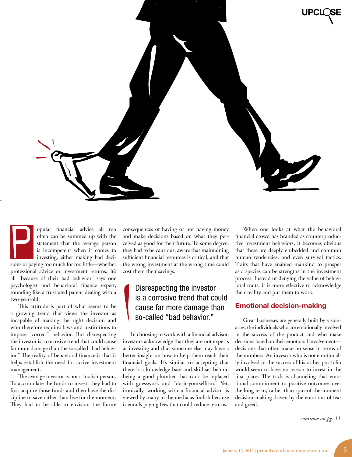

opular financial advice all too often can be summed up with the statement that the average person is incompetent when it comes to investing, either making bad decisions or paying too much for too little—whether professional advice or investment returns. It's all "because of their bad behavior" says one psychologist and behavioral finance expert, sounding like a frustrated parent dealing with a two-year-old. P

This attitude is part of what seems to be a growing trend that views the investor as incapable of making the right decision and who therefore requires laws and institutions to impose "correct" behavior. But disrespecting the investor is a corrosive trend that could cause far more damage than the so-called "bad behavior." The reality of behavioral finance is that it helps establish the need for active investment management.

The average investor is not a foolish person. To accumulate the funds to invest, they had to first acquire those funds and then have the discipline to save rather than live for the moment. They had to be able to envision the future consequences of having or not having money and make decisions based on what they perceived as good for their future. To some degree, they had to be cautious, aware that maintaining sufficient financial resources is critical, and that the wrong investment at the wrong time could cost them their savings.

#### Disrespecting the investor is a corrosive trend that could cause far more damage than so-called "bad behavior."

In choosing to work with a financial advisor, investors acknowledge that they are not experts at investing and that someone else may have a better insight on how to help them reach their financial goals. It's similar to accepting that there is a knowledge base and skill set behind being a good plumber that can't be replaced with guesswork and "do-it-yourselfism." Yet, ironically, working with a financial advisor is viewed by many in the media as foolish because it entails paying fees that could reduce returns.

When one looks at what the behavioral financial crowd has branded as counterproductive investment behaviors, it becomes obvious that these are deeply embedded and common human tendencies, and even survival tactics. Traits that have enabled mankind to prosper as a species can be strengths in the investment process. Instead of denying the value of behavioral traits, it is more effective to acknowledge their reality and put them to work.

#### Emotional decision-making

Great businesses are generally built by visionaries, the individuals who are emotionally involved in the success of the product and who make decisions based on their emotional involvement decisions that often make no sense in terms of the numbers. An investor who is not emotionally involved in the success of his or her portfolio would seem to have no reason to invest in the first place. The trick is channeling that emotional commitment to positive outcomes over the long term, rather than spur-of-the-moment decision-making driven by the emotions of fear and greed.

*continue on pg. 11*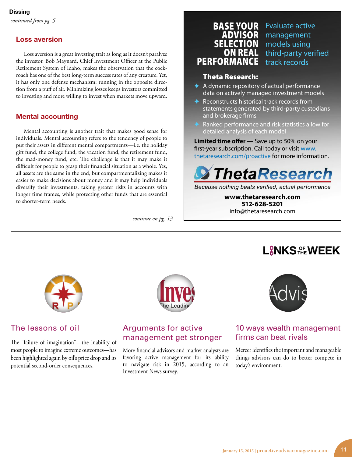#### Loss aversion

Loss aversion is a great investing trait as long as it doesn't paralyze the investor. Bob Maynard, Chief Investment Officer at the Public Retirement System of Idaho, makes the observation that the cockroach has one of the best long-term success rates of any creature. Yet, it has only one defense mechanism: running in the opposite direction from a puff of air. Minimizing losses keeps investors committed to investing and more willing to invest when markets move upward.

#### Mental accounting

Mental accounting is another trait that makes good sense for individuals. Mental accounting refers to the tendency of people to put their assets in different mental compartments—i.e. the holiday gift fund, the college fund, the vacation fund, the retirement fund, the mad-money fund, etc. The challenge is that it may make it difficult for people to grasp their financial situation as a whole. Yes, all assets are the same in the end, but compartmentalizing makes it easier to make decisions about money and it may help individuals diversify their investments, taking greater risks in accounts with longer time frames, while protecting other funds that are essential to shorter-term needs.

*continue on pg. 13*

## BASE YOUR ON REAL PERFORM

ADVISOR management SELECTION models using Evaluate active third-party verified track records

#### Theta Research:

- ✦ A dynamic repository of actual performance data on actively managed investment models
- ✦ Reconstructs historical track records from statements generated by third-party custodians and brokerage firms
- Ranked performance and risk statistics allow for detailed analysis of each model

**Limited time offer** — Save up to 50% on your first-year subscription. Call today or visit www. thetaresearch.com/proactive for more information.



*Because nothing beats verified, actual performance*

**www.thetaresearch.com 512-628-5201** info@thetaresearch.com

#### The lessons of oil

The "failure of imagination"—the inability of most people to imagine extreme outcomes—has been highlighted again by oil's price drop and its potential second-order consequences.



#### Arguments for active management get stronger

More financial advisors and market analysts are favoring active management for its ability to navigate risk in 2015, according to an Investment News survey.



L**RNKS OF WEEK** 

#### 10 ways wealth management firms can beat rivals

Mercer identifies the important and manageable things advisors can do to better compete in today's environment.